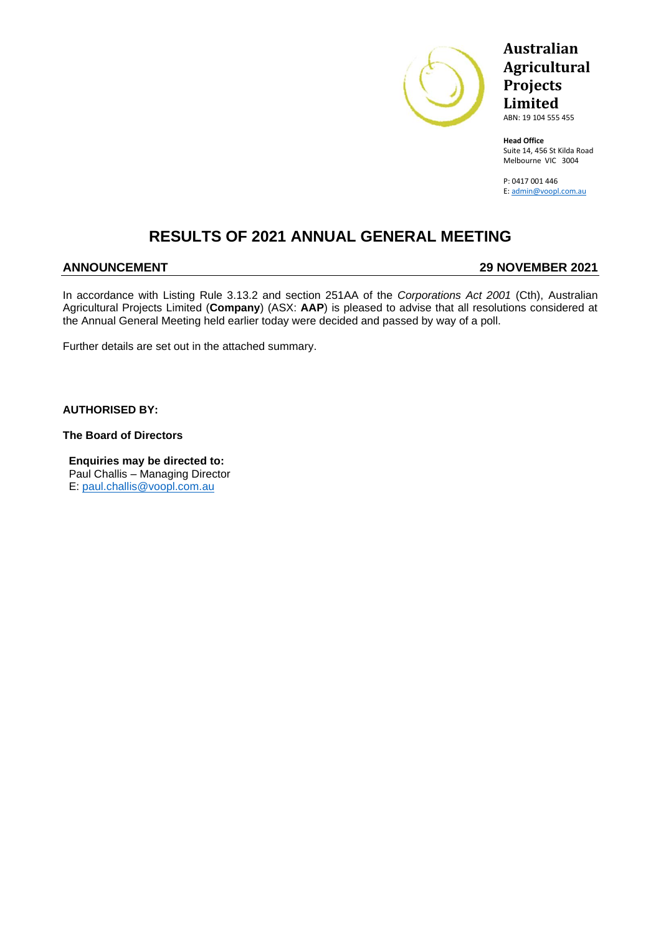

# **Australian Agricultural Projects Limited**

ABN: 19 104 555 455

**Head Office** Suite 14, 456 St Kilda Road Melbourne VIC 3004

P: 0417 001 446 E: [admin@voopl.com.au](mailto:admin@voopl.com.au)

## **RESULTS OF 2021 ANNUAL GENERAL MEETING**

## **ANNOUNCEMENT 29 NOVEMBER 2021**

In accordance with Listing Rule 3.13.2 and section 251AA of the *Corporations Act 2001* (Cth), Australian Agricultural Projects Limited (**Company**) (ASX: **AAP**) is pleased to advise that all resolutions considered at the Annual General Meeting held earlier today were decided and passed by way of a poll.

Further details are set out in the attached summary.

**AUTHORISED BY:**

**The Board of Directors** 

**Enquiries may be directed to:** Paul Challis – Managing Director E: [paul.challis@voopl.com.au](mailto:paul.challis@voopl.com.au)